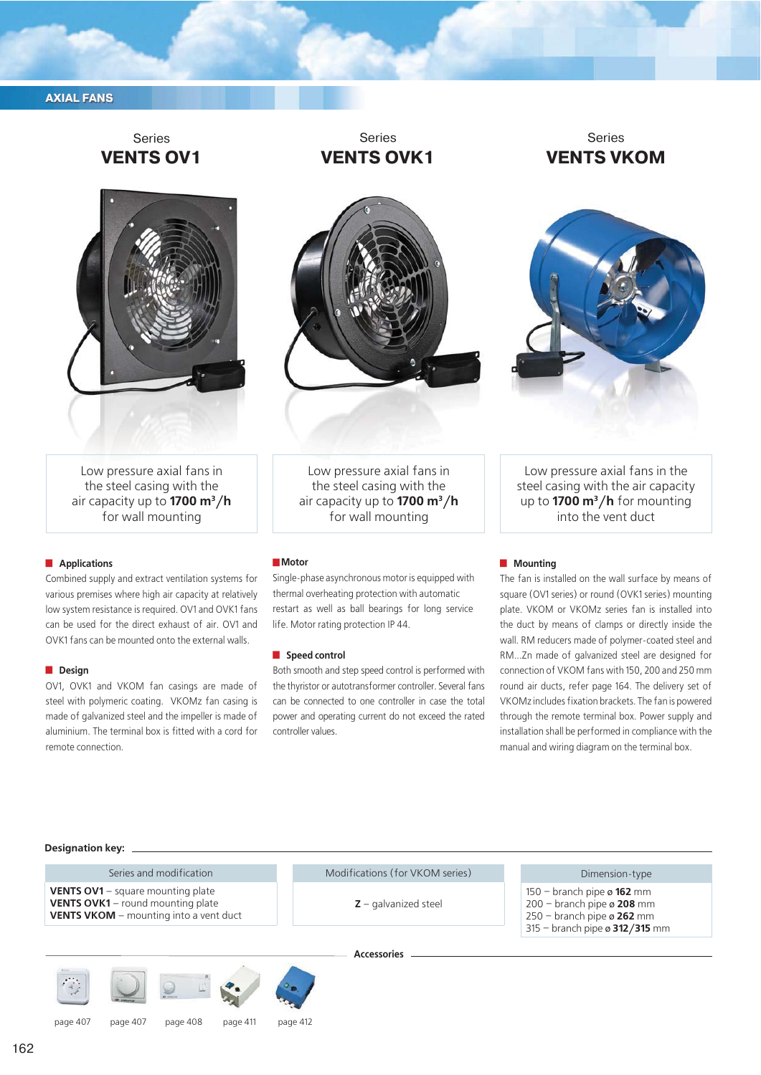## **AXIAL FANS**

# Series **VENTS OV1**



Series **VENTS ОVK1**

Series **VENTS VKОМ**



Low pressure axial fans in the steel casing with the air capacity up to **1700 m3/h** for wall mounting

### **Applications**

Combined supply and extract ventilation systems for various premises where high air capacity at relatively low system resistance is required. OV1 and OVK1 fans can be used for the direct exhaust of air. OV1 and OVK1 fans can be mounted onto the external walls.

#### **Design**

OV1, OVK1 and VKOM fan casings are made of steel with polymeric coating. VKOMz fan casing is made of galvanized steel and the impeller is made of aluminium. The terminal box is fitted with a cord for remote connection.

Low pressure axial fans in the steel casing with the air capacity up to **1700 m3/h** for wall mounting

#### **Motor**

Single-phase asynchronous motor is equipped with thermal overheating protection with automatic restart as well as ball bearings for long service life. Motor rating protection IP 44.

#### **J** Speed control

Both smooth and step speed control is performed with the thyristor or autotransformer controller. Several fans can be connected to one controller in case the total power and operating current do not exceed the rated controller values.

Low pressure axial fans in the steel casing with the air capacity up to **1700 m3/h** for mounting into the vent duct

### **Mounting**

The fan is installed on the wall surface by means of square (OV1 series) or round (OVK1 series) mounting plate. VKOM or VKOMz series fan is installed into the duct by means of clamps or directly inside the wall. RM reducers made of polymer-coated steel and RM...Zn made of galvanized steel are designed for connection of VKOM fans with 150, 200 and 250 mm round air ducts, refer page 164. The delivery set of VKOMz includes fixation brackets. The fan is powered through the remote terminal box. Power supply and installation shall be performed in compliance with the manual and wiring diagram on the terminal box.

#### **Designation key:**

Series and modification **VENTS OV1** – square mounting plate **VENTS OVK1** – round mounting plate **VENTS VKOM** – mounting into a vent duct





Modifications (for VKOM series)

**Z** – galvanized steel

## Dimension-type

- 150 branch pipe ø **162** mm 200 – branch pipe ø **208** mm
- 250 branch pipe ø **262** mm
- 315 branch pipe ø **312/315** mm

**Accessories**

page 407 page 407 page 408 page 411 page 412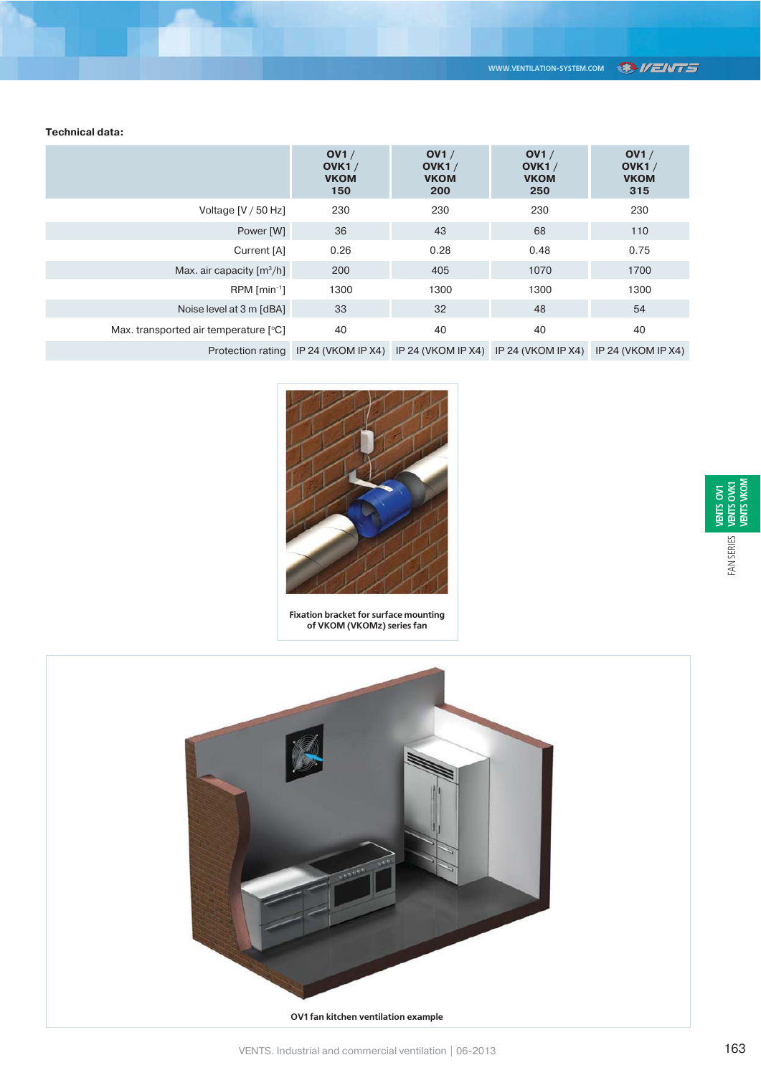**Technical data:**

|                                         | OVI /<br>OVK1 $/$<br><b>VKOM</b><br>150 | OVI /<br>OVK1 $/$<br><b>VKOM</b><br>200                                                       | OVI /<br>OVK1 $/$<br><b>VKOM</b><br>250 | OVI /<br>OVK1 $/$<br><b>VKOM</b><br>315 |
|-----------------------------------------|-----------------------------------------|-----------------------------------------------------------------------------------------------|-----------------------------------------|-----------------------------------------|
| Voltage [V / 50 Hz]                     | 230                                     | 230                                                                                           | 230                                     | 230                                     |
| Power [W]                               | 36                                      | 43                                                                                            | 68                                      | 110                                     |
| Current [A]                             | 0.26                                    | 0.28                                                                                          | 0.48                                    | 0.75                                    |
| Max. air capacity $\lceil m^3/h \rceil$ | 200                                     | 405                                                                                           | 1070                                    | 1700                                    |
| $RPM$ [min <sup>-1</sup> ]              | 1300                                    | 1300                                                                                          | 1300                                    | 1300                                    |
| Noise level at 3 m [dBA]                | 33                                      | 32                                                                                            | 48                                      | 54                                      |
| Max. transported air temperature [°C]   | 40                                      | 40                                                                                            | 40                                      | 40                                      |
|                                         |                                         | Protection rating IP 24 (VKOM IP X4) IP 24 (VKOM IP X4) IP 24 (VKOM IP X4) IP 24 (VKOM IP X4) |                                         |                                         |



**Fixation bracket for surface mounting of VKOM (VKOMz) series fan**

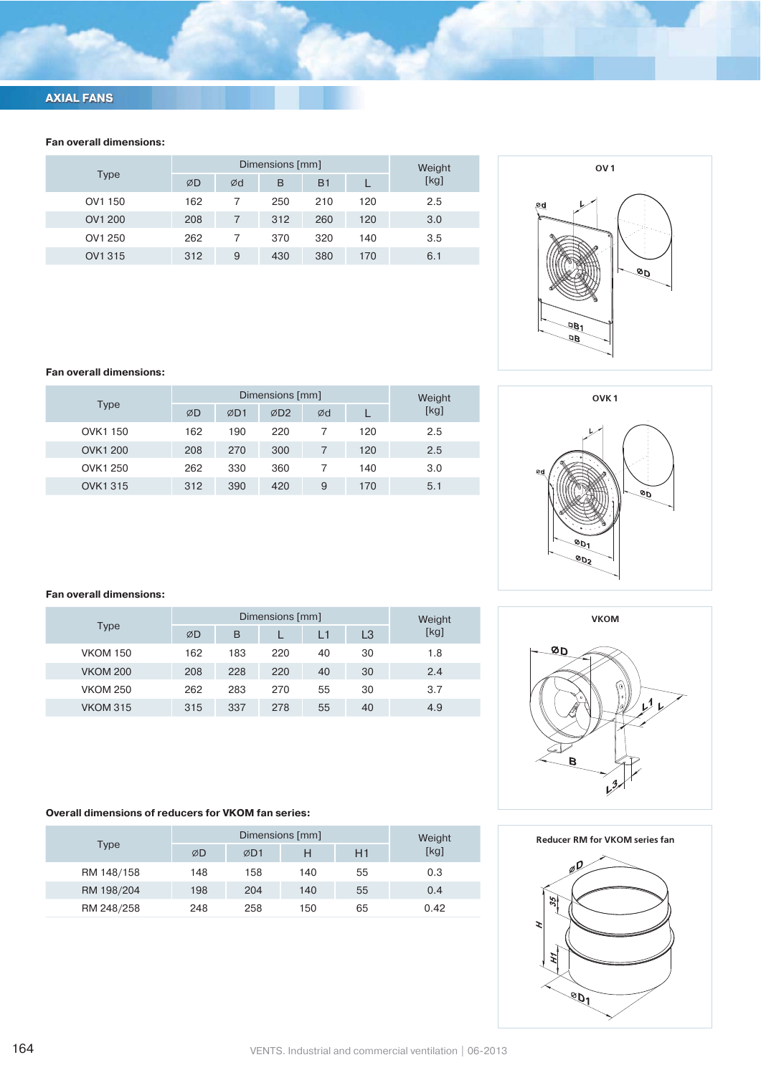# **AXIAL FANS**

## **Fan overall dimensions:**

|             |     | Dimensions [mm] | Weight |                |     |      |
|-------------|-----|-----------------|--------|----------------|-----|------|
| <b>Type</b> | ØD  | Ød              | в      | B <sub>1</sub> |     | [kg] |
| OV1 150     | 162 |                 | 250    | 210            | 120 | 2.5  |
| OV1 200     | 208 | 7               | 312    | 260            | 120 | 3.0  |
| OV1 250     | 262 |                 | 370    | 320            | 140 | 3.5  |
| OV1 315     | 312 | 9               | 430    | 380            | 170 | 6.1  |



### **Fan overall dimensions:**

|                |     |     | Dimensions [mm] |    |     | Weight | OVK <sup>1</sup> |
|----------------|-----|-----|-----------------|----|-----|--------|------------------|
| Type           | ØD  | ØD1 | ØD <sub>2</sub> | Ød |     | [kg]   |                  |
| OVK1 150       | 162 | 190 | 220             |    | 120 | 2.5    |                  |
| <b>OVK1200</b> | 208 | 270 | 300             |    | 120 | 2.5    |                  |
| OVK1 250       | 262 | 330 | 360             |    | 140 | 3.0    | Ød               |
| <b>OVK1315</b> | 312 | 390 | 420             | 9  | 170 | 5.1    |                  |



### **Fan overall dimensions:**

|                 |     |     | Dimensions [mm] |    |    | Weight | <b>VKOM</b> |
|-----------------|-----|-----|-----------------|----|----|--------|-------------|
| Type            | ØD  | B   |                 | L1 | L3 | [kg]   |             |
| <b>VKOM 150</b> | 162 | 183 | 220             | 40 | 30 | 1.8    | ØD          |
| <b>VKOM 200</b> | 208 | 228 | 220             | 40 | 30 | 2.4    |             |
| <b>VKOM 250</b> | 262 | 283 | 270             | 55 | 30 | 3.7    | $\circ$     |
| <b>VKOM 315</b> | 315 | 337 | 278             | 55 | 40 | 4.9    |             |

# **Overall dimensions of reducers for VKOM fan series:**

| Type       |     | Weight |     |    |      |
|------------|-----|--------|-----|----|------|
|            | ØD  | ØD1    | н   | H1 | [kg] |
| RM 148/158 | 148 | 158    | 140 | 55 | 0.3  |
| RM 198/204 | 198 | 204    | 140 | 55 | 0.4  |
| RM 248/258 | 248 | 258    | 150 | 65 | 0.42 |

### **Reducer RM for VKOM series fan**